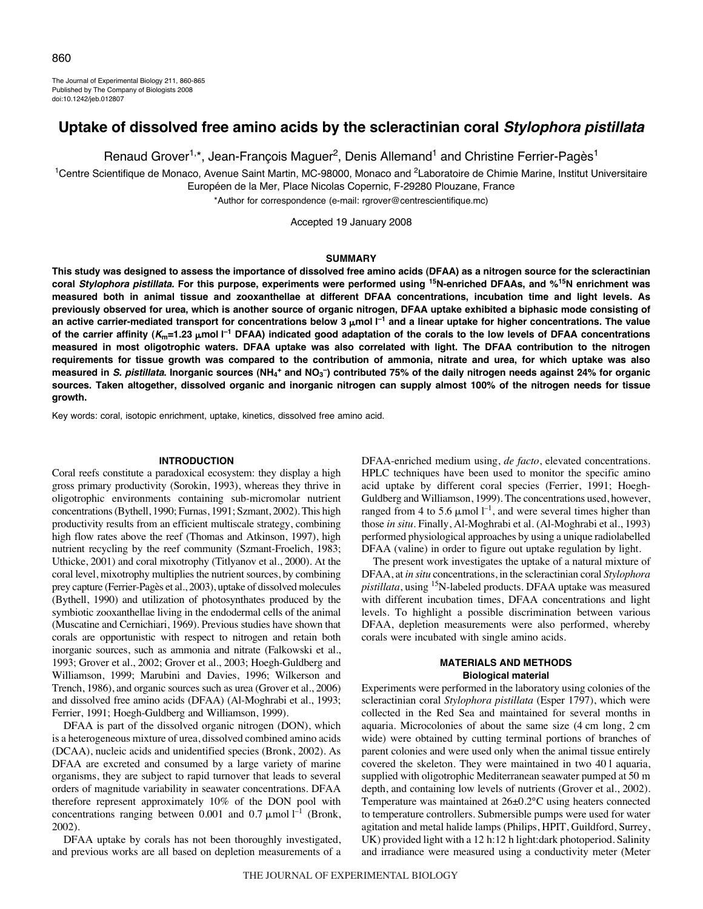The Journal of Experimental Biology 211, 860-865 Published by The Company of Biologists 2008 doi:10.1242/jeb.012807

# **Uptake of dissolved free amino acids by the scleractinian coral Stylophora pistillata**

Renaud Grover<sup>1,\*</sup>, Jean-François Maquer<sup>2</sup>, Denis Allemand<sup>1</sup> and Christine Ferrier-Pagès<sup>1</sup>

<sup>1</sup>Centre Scientifique de Monaco, Avenue Saint Martin, MC-98000, Monaco and <sup>2</sup>Laboratoire de Chimie Marine, Institut Universitaire Européen de la Mer, Place Nicolas Copernic, F-29280 Plouzane, France

\*Author for correspondence (e-mail: rgrover@centrescientifique.mc)

Accepted 19 January 2008

## **SUMMARY**

**This study was designed to assess the importance of dissolved free amino acids (DFAA) as a nitrogen source for the scleractinian coral Stylophora pistillata. For this purpose, experiments were performed using 15N-enriched DFAAs, and %15N enrichment was measured both in animal tissue and zooxanthellae at different DFAA concentrations, incubation time and light levels. As previously observed for urea, which is another source of organic nitrogen, DFAA uptake exhibited a biphasic mode consisting of** an active carrier-mediated transport for concentrations below 3 µmol l<sup>−1</sup> and a linear uptake for higher concentrations. The value of the carrier affinity (K<sub>m</sub>=1.23 μmol I<sup>-1</sup> DFAA) indicated good adaptation of the corals to the low levels of DFAA concentrations **measured in most oligotrophic waters. DFAA uptake was also correlated with light. The DFAA contribution to the nitrogen requirements for tissue growth was compared to the contribution of ammonia, nitrate and urea, for which uptake was also measured in S. pistillata. Inorganic sources (NH4 <sup>+</sup> and NO3 –) contributed 75% of the daily nitrogen needs against 24% for organic sources. Taken altogether, dissolved organic and inorganic nitrogen can supply almost 100% of the nitrogen needs for tissue growth.**

Key words: coral, isotopic enrichment, uptake, kinetics, dissolved free amino acid.

#### **INTRODUCTION**

Coral reefs constitute a paradoxical ecosystem: they display a high gross primary productivity (Sorokin, 1993), whereas they thrive in oligotrophic environments containing sub-micromolar nutrient concentrations (Bythell, 1990; Furnas, 1991; Szmant, 2002). This high productivity results from an efficient multiscale strategy, combining high flow rates above the reef (Thomas and Atkinson, 1997), high nutrient recycling by the reef community (Szmant-Froelich, 1983; Uthicke, 2001) and coral mixotrophy (Titlyanov et al., 2000). At the coral level, mixotrophy multiplies the nutrient sources, by combining prey capture (Ferrier-Pagès et al., 2003), uptake of dissolved molecules (Bythell, 1990) and utilization of photosynthates produced by the symbiotic zooxanthellae living in the endodermal cells of the animal (Muscatine and Cernichiari, 1969). Previous studies have shown that corals are opportunistic with respect to nitrogen and retain both inorganic sources, such as ammonia and nitrate (Falkowski et al., 1993; Grover et al., 2002; Grover et al., 2003; Hoegh-Guldberg and Williamson, 1999; Marubini and Davies, 1996; Wilkerson and Trench, 1986), and organic sources such as urea (Grover et al., 2006) and dissolved free amino acids (DFAA) (Al-Moghrabi et al., 1993; Ferrier, 1991; Hoegh-Guldberg and Williamson, 1999).

DFAA is part of the dissolved organic nitrogen (DON), which is a heterogeneous mixture of urea, dissolved combined amino acids (DCAA), nucleic acids and unidentified species (Bronk, 2002). As DFAA are excreted and consumed by a large variety of marine organisms, they are subject to rapid turnover that leads to several orders of magnitude variability in seawater concentrations. DFAA therefore represent approximately 10% of the DON pool with concentrations ranging between 0.001 and 0.7  $\mu$ mol l<sup>-1</sup> (Bronk, 2002).

DFAA uptake by corals has not been thoroughly investigated, and previous works are all based on depletion measurements of a DFAA-enriched medium using, *de facto*, elevated concentrations. HPLC techniques have been used to monitor the specific amino acid uptake by different coral species (Ferrier, 1991; Hoegh-Guldberg and Williamson, 1999). The concentrations used, however, ranged from 4 to 5.6  $\mu$ mol l<sup>-1</sup>, and were several times higher than those *in situ*. Finally, Al-Moghrabi et al. (Al-Moghrabi et al., 1993) performed physiological approaches by using a unique radiolabelled DFAA (valine) in order to figure out uptake regulation by light.

The present work investigates the uptake of a natural mixture of DFAA, at *in situ* concentrations, in the scleractinian coral *Stylophora pistillata*, using 15N-labeled products. DFAA uptake was measured with different incubation times, DFAA concentrations and light levels. To highlight a possible discrimination between various DFAA, depletion measurements were also performed, whereby corals were incubated with single amino acids.

## **MATERIALS AND METHODS Biological material**

Experiments were performed in the laboratory using colonies of the scleractinian coral *Stylophora pistillata* (Esper 1797), which were collected in the Red Sea and maintained for several months in aquaria. Microcolonies of about the same size  $(4 \text{ cm} \text{ long}, 2 \text{ cm})$ wide) were obtained by cutting terminal portions of branches of parent colonies and were used only when the animal tissue entirely covered the skeleton. They were maintained in two 40 l aquaria, supplied with oligotrophic Mediterranean seawater pumped at 50 m depth, and containing low levels of nutrients (Grover et al., 2002). Temperature was maintained at 26±0.2°C using heaters connected to temperature controllers. Submersible pumps were used for water agitation and metal halide lamps (Philips, HPIT, Guildford, Surrey, UK) provided light with a 12 h:12 h light:dark photoperiod. Salinity and irradiance were measured using a conductivity meter (Meter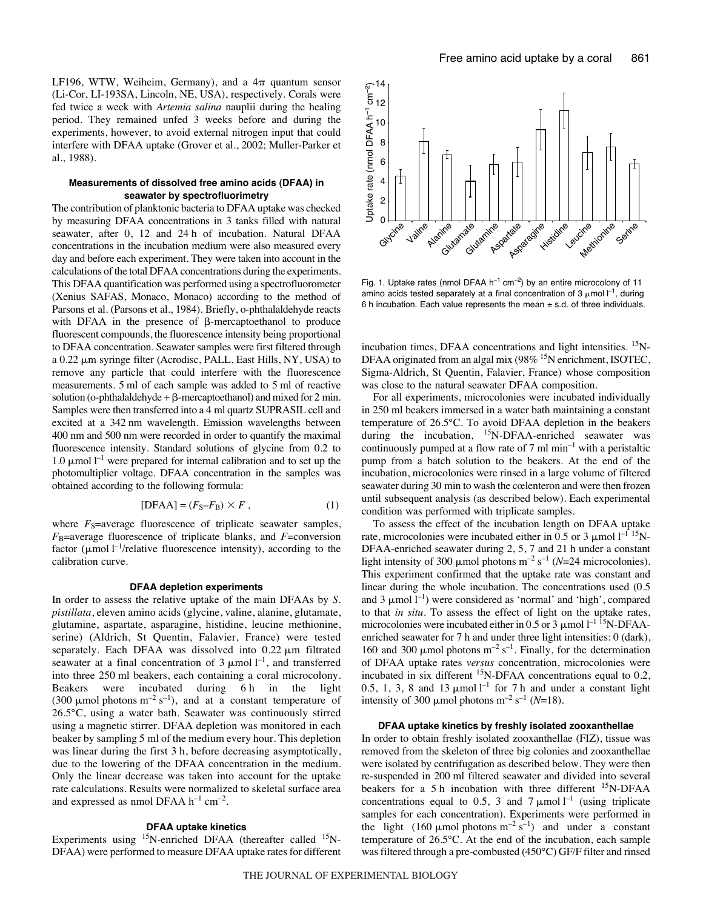LF196, WTW, Weiheim, Germany), and a  $4\pi$  quantum sensor (Li-Cor, LI-193SA, Lincoln, NE, USA), respectively. Corals were fed twice a week with *Artemia salina* nauplii during the healing period. They remained unfed 3 weeks before and during the experiments, however, to avoid external nitrogen input that could interfere with DFAA uptake (Grover et al., 2002; Muller-Parker et al., 1988).

## **Measurements of dissolved free amino acids (DFAA) in seawater by spectrofluorimetry**

The contribution of planktonic bacteria to DFAA uptake was checked by measuring DFAA concentrations in 3 tanks filled with natural seawater, after 0, 12 and 24 h of incubation. Natural DFAA concentrations in the incubation medium were also measured every day and before each experiment. They were taken into account in the calculations of the total DFAA concentrations during the experiments. This DFAA quantification was performed using a spectrofluorometer (Xenius SAFAS, Monaco, Monaco) according to the method of Parsons et al. (Parsons et al., 1984). Briefly, o-phthalaldehyde reacts with DFAA in the presence of  $\beta$ -mercaptoethanol to produce fluorescent compounds, the fluorescence intensity being proportional to DFAA concentration. Seawater samples were first filtered through a 0.22  $\mu$ m syringe filter (Acrodisc, PALL, East Hills, NY, USA) to remove any particle that could interfere with the fluorescence measurements. 5 ml of each sample was added to 5 ml of reactive solution (o-phthalaldehyde  $+ \beta$ -mercaptoethanol) and mixed for 2 min. Samples were then transferred into a 4 ml quartz SUPRASIL cell and excited at a 342 nm wavelength. Emission wavelengths between 400 nm and 500 nm were recorded in order to quantify the maximal fluorescence intensity. Standard solutions of glycine from 0.2 to 1.0  $\mu$ mol l<sup>-1</sup> were prepared for internal calibration and to set up the photomultiplier voltage. DFAA concentration in the samples was obtained according to the following formula:

$$
[DFAA] = (F_S - F_B) \times F , \qquad (1)
$$

where  $F_S$ =average fluorescence of triplicate seawater samples, *F*B=average fluorescence of triplicate blanks, and *F*=conversion factor ( $\mu$ mol l<sup>-1</sup>/relative fluorescence intensity), according to the calibration curve.

#### **DFAA depletion experiments**

In order to assess the relative uptake of the main DFAAs by *S. pistillata*, eleven amino acids (glycine, valine, alanine, glutamate, glutamine, aspartate, asparagine, histidine, leucine methionine, serine) (Aldrich, St Quentin, Falavier, France) were tested separately. Each DFAA was dissolved into  $0.22 \mu m$  filtrated seawater at a final concentration of 3  $\mu$ mol  $l^{-1}$ , and transferred into three 250 ml beakers, each containing a coral microcolony. Beakers were incubated during 6h in the light (300  $\mu$ mol photons m<sup>-2</sup> s<sup>-1</sup>), and at a constant temperature of 26.5°C, using a water bath. Seawater was continuously stirred using a magnetic stirrer. DFAA depletion was monitored in each beaker by sampling 5 ml of the medium every hour. This depletion was linear during the first 3 h, before decreasing asymptotically, due to the lowering of the DFAA concentration in the medium. Only the linear decrease was taken into account for the uptake rate calculations. Results were normalized to skeletal surface area and expressed as nmol DFAA  $h^{-1}$  cm<sup>-2</sup>.

# **DFAA uptake kinetics**

Experiments using  $^{15}$ N-enriched DFAA (thereafter called  $^{15}$ N-DFAA) were performed to measure DFAA uptake rates for different



Fig. 1. Uptake rates (nmol DFAA  $h^{-1}$  cm<sup>-2</sup>) by an entire microcolony of 11 amino acids tested separately at a final concentration of 3  $\mu$ mol  $I^{-1}$ , during 6 h incubation. Each value represents the mean  $\pm$  s.d. of three individuals.

incubation times, DFAA concentrations and light intensities.  $\mathrm{^{15}N}$ -DFAA originated from an algal mix (98% <sup>15</sup>N enrichment, ISOTEC, Sigma-Aldrich, St Quentin, Falavier, France) whose composition was close to the natural seawater DFAA composition.

For all experiments, microcolonies were incubated individually in 250 ml beakers immersed in a water bath maintaining a constant temperature of 26.5°C. To avoid DFAA depletion in the beakers during the incubation, <sup>15</sup>N-DFAA-enriched seawater was continuously pumped at a flow rate of  $7 \text{ ml min}^{-1}$  with a peristaltic pump from a batch solution to the beakers. At the end of the incubation, microcolonies were rinsed in a large volume of filtered seawater during 30 min to wash the cœlenteron and were then frozen until subsequent analysis (as described below). Each experimental condition was performed with triplicate samples.

To assess the effect of the incubation length on DFAA uptake rate, microcolonies were incubated either in 0.5 or 3  $\mu$ mol l<sup>-1 15</sup>N-DFAA-enriched seawater during 2, 5, 7 and 21 h under a constant light intensity of 300  $\mu$ mol photons m<sup>-2</sup> s<sup>-1</sup> (*N*=24 microcolonies). This experiment confirmed that the uptake rate was constant and linear during the whole incubation. The concentrations used (0.5 and 3  $\mu$ mol  $l^{-1}$ ) were considered as 'normal' and 'high', compared to that *in situ*. To assess the effect of light on the uptake rates, microcolonies were incubated either in 0.5 or 3  $\mu$  mol  $l^{-1}$  <sup>15</sup>N-DFAAenriched seawater for 7 h and under three light intensities: 0 (dark), 160 and 300  $\mu$ mol photons m<sup>-2</sup> s<sup>-1</sup>. Finally, for the determination of DFAA uptake rates *versus* concentration, microcolonies were incubated in six different <sup>15</sup>N-DFAA concentrations equal to 0.2, 0.5, 1, 3, 8 and 13  $\mu$ mol  $l^{-1}$  for 7 h and under a constant light intensity of 300  $\mu$ mol photons m<sup>-2</sup> s<sup>-1</sup> (*N*=18).

## **DFAA uptake kinetics by freshly isolated zooxanthellae**

In order to obtain freshly isolated zooxanthellae (FIZ), tissue was removed from the skeleton of three big colonies and zooxanthellae were isolated by centrifugation as described below. They were then re-suspended in 200 ml filtered seawater and divided into several beakers for a 5 h incubation with three different <sup>15</sup>N-DFAA concentrations equal to 0.5, 3 and 7  $\mu$ mol l<sup>-1</sup> (using triplicate samples for each concentration). Experiments were performed in the light (160  $\mu$ mol photons m<sup>-2</sup> s<sup>-1</sup>) and under a constant temperature of 26.5°C. At the end of the incubation, each sample was filtered through a pre-combusted (450°C) GF/F filter and rinsed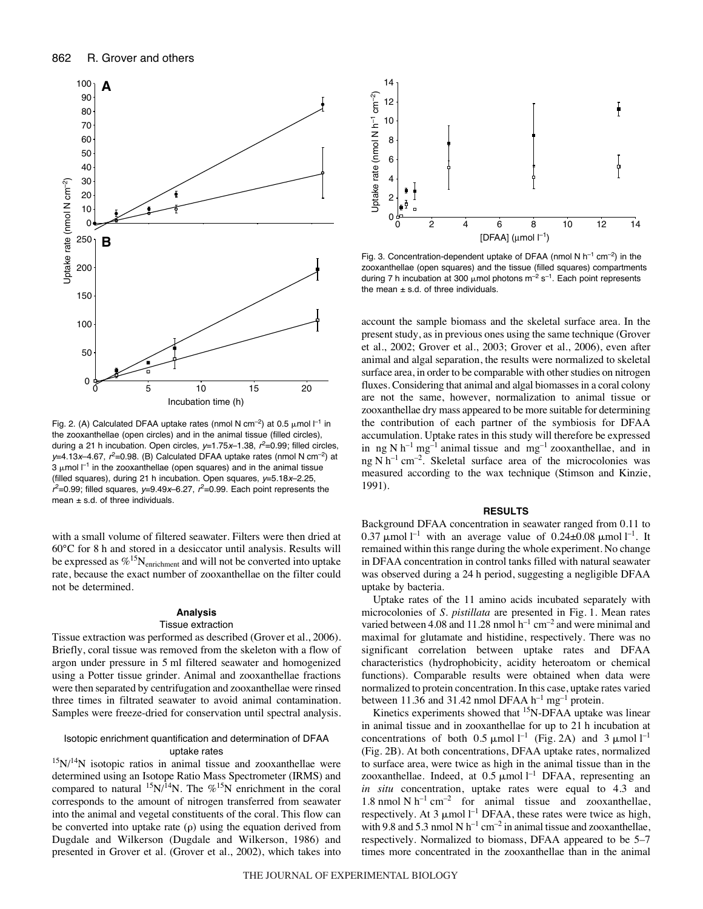

Fig. 2. (A) Calculated DFAA uptake rates (nmol N cm<sup>-2</sup>) at 0.5  $\mu$ mol  $l^{-1}$  in the zooxanthellae (open circles) and in the animal tissue (filled circles), during a 21 h incubation. Open circles,  $y=1.75x-1.38$ ,  $r^2=0.99$ ; filled circles, y=4.13x–4.67,  $r^2$ =0.98. (B) Calculated DFAA uptake rates (nmol N cm<sup>-2</sup>) at  $3 \mu$ mol  $I^{-1}$  in the zooxanthellae (open squares) and in the animal tissue (filled squares), during 21 h incubation. Open squares,  $y=5.18x-2.25$ ,  $r^2$ =0.99; filled squares, y=9.49x–6.27,  $r^2$ =0.99. Each point represents the mean  $\pm$  s.d. of three individuals.

with a small volume of filtered seawater. Filters were then dried at 60°C for 8 h and stored in a desiccator until analysis. Results will be expressed as  $\%$ <sup>15</sup>N<sub>enrichment</sub> and will not be converted into uptake rate, because the exact number of zooxanthellae on the filter could not be determined.

# **Analysis**

# Tissue extraction

Tissue extraction was performed as described (Grover et al., 2006). Briefly, coral tissue was removed from the skeleton with a flow of argon under pressure in 5 ml filtered seawater and homogenized using a Potter tissue grinder. Animal and zooxanthellae fractions were then separated by centrifugation and zooxanthellae were rinsed three times in filtrated seawater to avoid animal contamination. Samples were freeze-dried for conservation until spectral analysis.

## Isotopic enrichment quantification and determination of DFAA uptake rates

 $15N/14N$  isotopic ratios in animal tissue and zooxanthellae were determined using an Isotope Ratio Mass Spectrometer (IRMS) and compared to natural  $^{15}N/14N$ . The %<sup>15</sup>N enrichment in the coral corresponds to the amount of nitrogen transferred from seawater into the animal and vegetal constituents of the coral. This flow can be converted into uptake rate  $(\rho)$  using the equation derived from Dugdale and Wilkerson (Dugdale and Wilkerson, 1986) and presented in Grover et al. (Grover et al., 2002), which takes into



Fig. 3. Concentration-dependent uptake of DFAA (nmol N  $h^{-1}$  cm<sup>-2</sup>) in the zooxanthellae (open squares) and the tissue (filled squares) compartments during 7 h incubation at 300  $\mu$ mol photons m<sup>-2</sup> s<sup>-1</sup>. Each point represents the mean  $\pm$  s.d. of three individuals.

account the sample biomass and the skeletal surface area. In the present study, as in previous ones using the same technique (Grover et al., 2002; Grover et al., 2003; Grover et al., 2006), even after animal and algal separation, the results were normalized to skeletal surface area, in order to be comparable with other studies on nitrogen fluxes. Considering that animal and algal biomasses in a coral colony are not the same, however, normalization to animal tissue or zooxanthellae dry mass appeared to be more suitable for determining the contribution of each partner of the symbiosis for DFAA accumulation. Uptake rates in this study will therefore be expressed in ng N  $h^{-1}$  mg<sup>-1</sup> animal tissue and mg<sup>-1</sup> zooxanthellae, and in ng N  $h^{-1}$  cm<sup>-2</sup>. Skeletal surface area of the microcolonies was measured according to the wax technique (Stimson and Kinzie, 1991).

#### **RESULTS**

Background DFAA concentration in seawater ranged from 0.11 to 0.37  $\mu$ mol l<sup>-1</sup> with an average value of 0.24±0.08  $\mu$ mol l<sup>-1</sup>. It remained within this range during the whole experiment. No change in DFAA concentration in control tanks filled with natural seawater was observed during a 24 h period, suggesting a negligible DFAA uptake by bacteria.

Uptake rates of the 11 amino acids incubated separately with microcolonies of *S. pistillata* are presented in Fig. 1. Mean rates varied between 4.08 and 11.28 nmol  $h^{-1}$  cm<sup>-2</sup> and were minimal and maximal for glutamate and histidine, respectively. There was no significant correlation between uptake rates and DFAA characteristics (hydrophobicity, acidity heteroatom or chemical functions). Comparable results were obtained when data were normalized to protein concentration. In this case, uptake rates varied between 11.36 and 31.42 nmol DFAA  $h^{-1}$  mg<sup>-1</sup> protein.

Kinetics experiments showed that <sup>15</sup>N-DFAA uptake was linear in animal tissue and in zooxanthellae for up to  $21$  h incubation at concentrations of both 0.5  $\mu$ mol l<sup>-1</sup> (Fig. 2A) and 3  $\mu$ mol l<sup>-1</sup> (Fig. 2B). At both concentrations, DFAA uptake rates, normalized to surface area, were twice as high in the animal tissue than in the zooxanthellae. Indeed, at  $0.5 \mu$ mol  $l^{-1}$  DFAA, representing an *in situ* concentration, uptake rates were equal to 4.3 and 1.8 nmol N  $h^{-1}$  cm<sup>-2</sup> for animal tissue and zooxanthellae, respectively. At 3  $\mu$ mol l<sup>-1</sup> DFAA, these rates were twice as high, with 9.8 and 5.3 nmol N  $h^{-1}$  cm<sup>-2</sup> in animal tissue and zooxanthellae, respectively. Normalized to biomass, DFAA appeared to be 5–7 times more concentrated in the zooxanthellae than in the animal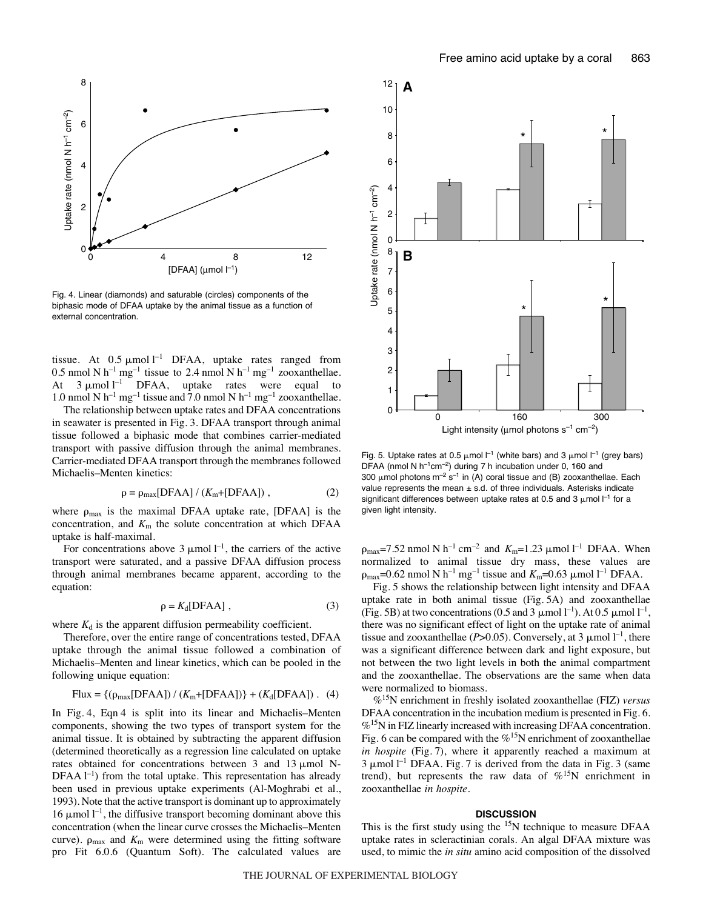

Fig. 4. Linear (diamonds) and saturable (circles) components of the biphasic mode of DFAA uptake by the animal tissue as a function of external concentration.

tissue. At  $0.5 \mu$ mol<sup>1-1</sup> DFAA, uptake rates ranged from 0.5 nmol N  $h^{-1}$  mg<sup>-1</sup> tissue to 2.4 nmol N  $h^{-1}$  mg<sup>-1</sup> zooxanthellae. At  $3 \mu$ mol<sup>1-1</sup> DFAA, uptake rates were equal to 1.0 nmol N  $h^{-1}$  mg<sup>-1</sup> tissue and 7.0 nmol N  $h^{-1}$  mg<sup>-1</sup> zooxanthellae.

The relationship between uptake rates and DFAA concentrations in seawater is presented in Fig. 3. DFAA transport through animal tissue followed a biphasic mode that combines carrier-mediated transport with passive diffusion through the animal membranes. Carrier-mediated DFAA transport through the membranes followed Michaelis–Menten kinetics:

$$
\rho = \rho_{\text{max}}[\text{DFAA}] / (K_{\text{m}} + [\text{DFAA}]), \qquad (2)
$$

where  $\rho_{\text{max}}$  is the maximal DFAA uptake rate, [DFAA] is the concentration, and *K*<sup>m</sup> the solute concentration at which DFAA uptake is half-maximal.

For concentrations above 3  $\mu$ mol  $l^{-1}$ , the carriers of the active transport were saturated, and a passive DFAA diffusion process through animal membranes became apparent, according to the equation:

$$
\rho = K_d[\text{DFAA}], \tag{3}
$$

where  $K_d$  is the apparent diffusion permeability coefficient.

Therefore, over the entire range of concentrations tested, DFAA uptake through the animal tissue followed a combination of Michaelis–Menten and linear kinetics, which can be pooled in the following unique equation:

Flux = 
$$
\{(\rho_{max}[DFAA]) / (K_m+[DFAA])\} + (K_d[DFAA])
$$
. (4)

In Fig. 4, Eqn 4 is split into its linear and Michaelis–Menten components, showing the two types of transport system for the animal tissue. It is obtained by subtracting the apparent diffusion (determined theoretically as a regression line calculated on uptake rates obtained for concentrations between  $3$  and  $13 \mu$ mol N-DFAA<sup> $l$ -1</sup>) from the total uptake. This representation has already been used in previous uptake experiments (Al-Moghrabi et al., 1993). Note that the active transport is dominant up to approximately 16  $\mu$ mol  $l^{-1}$ , the diffusive transport becoming dominant above this concentration (when the linear curve crosses the Michaelis–Menten curve).  $\rho_{\text{max}}$  and  $K_{\text{m}}$  were determined using the fitting software pro Fit 6.0.6 (Quantum Soft). The calculated values are



Fig. 5. Uptake rates at 0.5  $\mu$ mol  $l^{-1}$  (white bars) and 3  $\mu$ mol  $l^{-1}$  (grey bars) DFAA (nmol N  $h^{-1}$ cm<sup>-2</sup>) during 7 h incubation under 0, 160 and 300  $\mu$ mol photons m<sup>-2</sup> s<sup>-1</sup> in (A) coral tissue and (B) zooxanthellae. Each value represents the mean  $\pm$  s.d. of three individuals. Asterisks indicate significant differences between uptake rates at 0.5 and 3  $\mu$ mol  $I^{-1}$  for a given light intensity.

 $\rho_{\text{max}}$ =7.52 nmol N h<sup>-1</sup> cm<sup>-2</sup> and  $K_{\text{m}}$ =1.23  $\mu$ mol l<sup>-1</sup> DFAA. When normalized to animal tissue dry mass, these values are  $\rho_{\text{max}}$ =0.62 nmol N h<sup>-1</sup> mg<sup>-1</sup> tissue and  $K_{\text{m}}$ =0.63 µmol l<sup>-1</sup> DFAA.

Fig. 5 shows the relationship between light intensity and DFAA uptake rate in both animal tissue  $(Fig. 5A)$  and zooxanthellae (Fig. 5B) at two concentrations (0.5 and 3  $\mu$ mol l<sup>-1</sup>). At 0.5  $\mu$ mol l<sup>-1</sup>, there was no significant effect of light on the uptake rate of animal tissue and zooxanthellae ( $P > 0.05$ ). Conversely, at 3  $\mu$ mol  $l^{-1}$ , there was a significant difference between dark and light exposure, but not between the two light levels in both the animal compartment and the zooxanthellae. The observations are the same when data were normalized to biomass.

%15N enrichment in freshly isolated zooxanthellae (FIZ) *versus* DFAA concentration in the incubation medium is presented in Fig. 6.  $\%$ <sup>15</sup>N in FIZ linearly increased with increasing DFAA concentration. Fig. 6 can be compared with the  $% ^{15}N$  enrichment of zooxanthellae *in hospite* (Fig. 7), where it apparently reached a maximum at  $3 \mu$ mol l<sup>-1</sup> DFAA. Fig. 7 is derived from the data in Fig. 3 (same trend), but represents the raw data of  $\%$ <sup>15</sup>N enrichment in zooxanthellae *in hospite*.

# **DISCUSSION**

This is the first study using the <sup>15</sup>N technique to measure DFAA uptake rates in scleractinian corals. An algal DFAA mixture was used, to mimic the *in situ* amino acid composition of the dissolved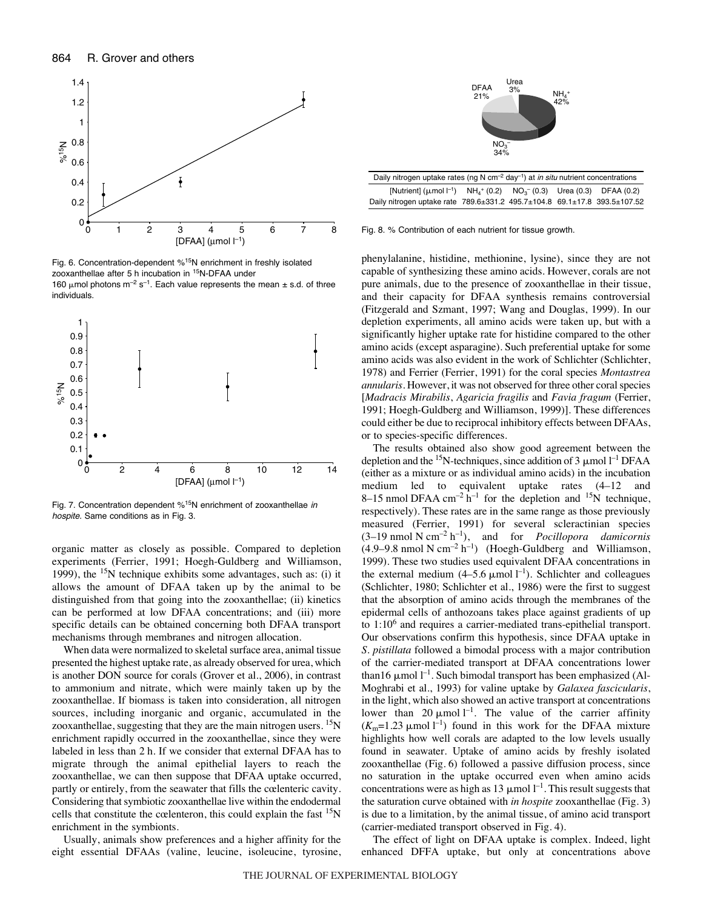

Fig. 6. Concentration-dependent %<sup>15</sup>N enrichment in freshly isolated zooxanthellae after 5 h incubation in <sup>15</sup>N-DFAA under 160  $\mu$ mol photons m<sup>-2</sup> s<sup>-1</sup>. Each value represents the mean  $\pm$  s.d. of three individuals.



Fig. 7. Concentration dependent  $% ^{15}N$  enrichment of zooxanthellae in hospite. Same conditions as in Fig. 3.

organic matter as closely as possible. Compared to depletion experiments (Ferrier, 1991; Hoegh-Guldberg and Williamson, 1999), the  $15N$  technique exhibits some advantages, such as: (i) it allows the amount of DFAA taken up by the animal to be distinguished from that going into the zooxanthellae; (ii) kinetics can be performed at low DFAA concentrations; and (iii) more specific details can be obtained concerning both DFAA transport mechanisms through membranes and nitrogen allocation.

When data were normalized to skeletal surface area, animal tissue presented the highest uptake rate, as already observed for urea, which is another DON source for corals (Grover et al., 2006), in contrast to ammonium and nitrate, which were mainly taken up by the zooxanthellae. If biomass is taken into consideration, all nitrogen sources, including inorganic and organic, accumulated in the zooxanthellae, suggesting that they are the main nitrogen users.  $\rm ^{15}N$ enrichment rapidly occurred in the zooxanthellae, since they were labeled in less than 2 h. If we consider that external DFAA has to migrate through the animal epithelial layers to reach the zooxanthellae, we can then suppose that DFAA uptake occurred, partly or entirely, from the seawater that fills the cœlenteric cavity. Considering that symbiotic zooxanthellae live within the endodermal cells that constitute the cœlenteron, this could explain the fast <sup>15</sup>N enrichment in the symbionts.

Usually, animals show preferences and a higher affinity for the eight essential DFAAs (valine, leucine, isoleucine, tyrosine,



Daily nitrogen uptake rates (ng N cm<sup>-2</sup> day<sup>-1</sup>) at *in situ* nutrient concentrations [Nutrient] ( $\mu$ mol  $I^{-1}$ ) NH<sub>4</sub>  $NH_4^+$  (0.2)  $NO_3^-$  (0.3) – (0.3) Urea (0.3) DFAA (0.2) Daily nitrogen uptake rate 789.6±331.2 495.7±104.8 69.1±17.8 393.5±107.52

Fig. 8. % Contribution of each nutrient for tissue growth.

phenylalanine, histidine, methionine, lysine), since they are not capable of synthesizing these amino acids. However, corals are not pure animals, due to the presence of zooxanthellae in their tissue, and their capacity for DFAA synthesis remains controversial (Fitzgerald and Szmant, 1997; Wang and Douglas, 1999). In our depletion experiments, all amino acids were taken up, but with a significantly higher uptake rate for histidine compared to the other amino acids (except asparagine). Such preferential uptake for some amino acids was also evident in the work of Schlichter (Schlichter, 1978) and Ferrier (Ferrier, 1991) for the coral species *Montastrea annularis.* However, it was not observed for three other coral species [*Madracis Mirabilis*, *Agaricia fragilis* and *Favia fragum* (Ferrier, 1991; Hoegh-Guldberg and Williamson, 1999)]. These differences could either be due to reciprocal inhibitory effects between DFAAs, or to species-specific differences.

The results obtained also show good agreement between the depletion and the <sup>15</sup>N-techniques, since addition of 3  $\mu$ mol l<sup>-1</sup> DFAA (either as a mixture or as individual amino acids) in the incubation medium led to equivalent uptake rates (4–12 and 8–15 nmol DFAA  $cm^{-2}h^{-1}$  for the depletion and <sup>15</sup>N technique, respectively). These rates are in the same range as those previously measured (Ferrier, 1991) for several scleractinian species  $(3-19 \text{ nmol N cm}^{-2} \text{ h}^{-1})$ , and for *Pocillopora damicornis*  $(4.9-9.8~\text{nmol N cm}^{-2}h^{-1})$  (Hoegh-Guldberg and Williamson, 1999). These two studies used equivalent DFAA concentrations in the external medium  $(4-5.6 \mu \text{mol})^{-1}$ ). Schlichter and colleagues (Schlichter, 1980; Schlichter et al., 1986) were the first to suggest that the absorption of amino acids through the membranes of the epidermal cells of anthozoans takes place against gradients of up to 1:106 and requires a carrier-mediated trans-epithelial transport. Our observations confirm this hypothesis, since DFAA uptake in *S. pistillata* followed a bimodal process with a major contribution of the carrier-mediated transport at DFAA concentrations lower than 16  $\mu$ mol  $l^{-1}$ . Such bimodal transport has been emphasized (Al-Moghrabi et al., 1993) for valine uptake by *Galaxea fascicularis*, in the light, which also showed an active transport at concentrations lower than 20  $\mu$ mol l<sup>-1</sup>. The value of the carrier affinity  $(K_m=1.23 \text{ }\mu\text{mol}\text{ } l^{-1})$  found in this work for the DFAA mixture highlights how well corals are adapted to the low levels usually found in seawater. Uptake of amino acids by freshly isolated zooxanthellae (Fig. 6) followed a passive diffusion process, since no saturation in the uptake occurred even when amino acids concentrations were as high as 13  $\mu$ mol l<sup>-1</sup>. This result suggests that the saturation curve obtained with *in hospite* zooxanthellae (Fig. 3) is due to a limitation, by the animal tissue, of amino acid transport (carrier-mediated transport observed in Fig. 4).

The effect of light on DFAA uptake is complex. Indeed, light enhanced DFFA uptake, but only at concentrations above